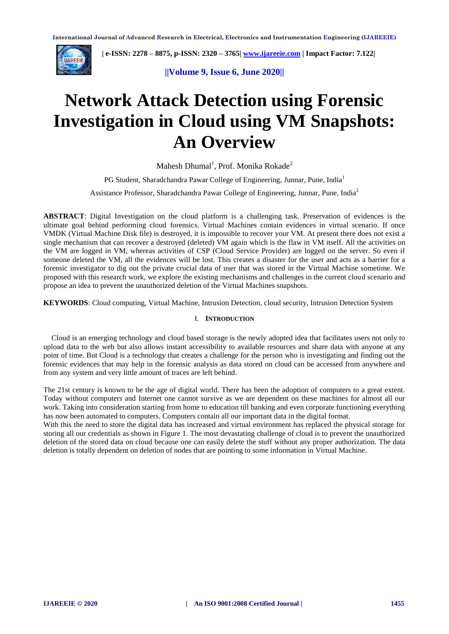

 **| e-ISSN: 2278 – 8875, p-ISSN: 2320 – 3765[| www.ijareeie.com](http://www.ijareeie.com/) | Impact Factor: 7.122|** 

**||Volume 9, Issue 6, June 2020||** 

# **Network Attack Detection using Forensic Investigation in Cloud using VM Snapshots: An Overview**

Mahesh Dhumal<sup>1</sup>, Prof. Monika Rokade<sup>2</sup>

PG Student, Sharadchandra Pawar College of Engineering, Junnar, Pune, India<sup>1</sup> Assistance Professor, Sharadchandra Pawar College of Engineering, Junnar, Pune, India<sup>2</sup>

**ABSTRACT**: Digital Investigation on the cloud platform is a challenging task. Preservation of evidences is the ultimate goal behind performing cloud forensics. Virtual Machines contain evidences in virtual scenario. If once VMDK (Virtual Machine Disk file) is destroyed, it is impossible to recover your VM. At present there does not exist a single mechanism that can recover a destroyed (deleted) VM again which is the flaw in VM itself. All the activities on the VM are logged in VM, whereas activities of CSP (Cloud Service Provider) are logged on the server. So even if someone deleted the VM, all the evidences will be lost. This creates a disaster for the user and acts as a barrier for a forensic investigator to dig out the private crucial data of user that was stored in the Virtual Machine sometime. We proposed with this research work, we explore the existing mechanisms and challenges in the current cloud scenario and propose an idea to prevent the unauthorized deletion of the Virtual Machines snapshots.

**KEYWORDS**: Cloud computing, Virtual Machine, Intrusion Detection, cloud security, Intrusion Detection System

#### I. **INTRODUCTION**

Cloud is an emerging technology and cloud based storage is the newly adopted idea that facilitates users not only to upload data to the web but also allows instant accessibility to available resources and share data with anyone at any point of time. But Cloud is a technology that creates a challenge for the person who is investigating and finding out the forensic evidences that may help in the forensic analysis as data stored on cloud can be accessed from anywhere and from any system and very little amount of traces are left behind.

The 21st century is known to be the age of digital world. There has been the adoption of computers to a great extent. Today without computers and Internet one cannot survive as we are dependent on these machines for almost all our work. Taking into consideration starting from home to education till banking and even corporate functioning everything has now been automated to computers. Computers contain all our important data in the digital format.

With this the need to store the digital data has increased and virtual environment has replaced the physical storage for storing all our credentials as shown in Figure 1. The most devastating challenge of cloud is to prevent the unauthorized deletion of the stored data on cloud because one can easily delete the stuff without any proper authorization. The data deletion is totally dependent on deletion of nodes that are pointing to some information in Virtual Machine.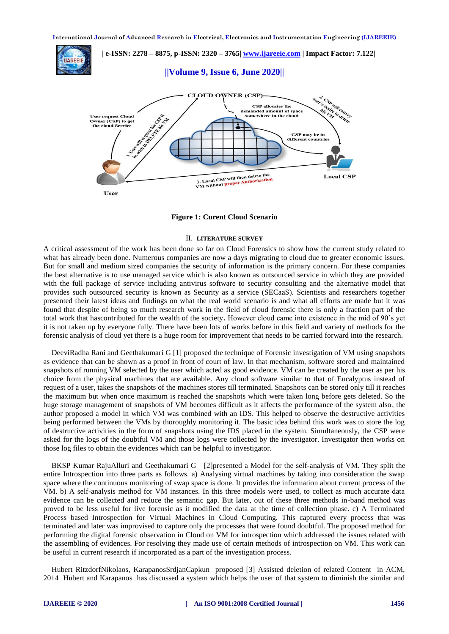

**Figure 1: Curent Cloud Scenario**

#### II. **LITERATURE SURVEY**

A critical assessment of the work has been done so far on Cloud Forensics to show how the current study related to what has already been done. Numerous companies are now a days migrating to cloud due to greater economic issues. But for small and medium sized companies the security of information is the primary concern. For these companies the best alternative is to use managed service which is also known as outsourced service in which they are provided with the full package of service including antivirus software to security consulting and the alternative model that provides such outsourced security is known as Security as a service (SECaaS). Scientists and researchers together presented their latest ideas and findings on what the real world scenario is and what all efforts are made but it was found that despite of being so much research work in the field of cloud forensic there is only a fraction part of the total work that hascontributed for the wealth of the society**.** However cloud came into existence in the mid of 90's yet it is not taken up by everyone fully. There have been lots of works before in this field and variety of methods for the forensic analysis of cloud yet there is a huge room for improvement that needs to be carried forward into the research.

DeeviRadha Rani and Geethakumari G [1] proposed the technique of Forensic investigation of VM using snapshots as evidence that can be shown as a proof in front of court of law. In that mechanism, software stored and maintained snapshots of running VM selected by the user which acted as good evidence. VM can be created by the user as per his choice from the physical machines that are available. Any cloud software similar to that of Eucalyptus instead of request of a user, takes the snapshots of the machines stores till terminated. Snapshots can be stored only till it reaches the maximum but when once maximum is reached the snapshots which were taken long before gets deleted. So the huge storage management of snapshots of VM becomes difficult as it affects the performance of the system also, the author proposed a model in which VM was combined with an IDS. This helped to observe the destructive activities being performed between the VMs by thoroughly monitoring it. The basic idea behind this work was to store the log of destructive activities in the form of snapshots using the IDS placed in the system. Simultaneously, the CSP were asked for the logs of the doubtful VM and those logs were collected by the investigator. Investigator then works on those log files to obtain the evidences which can be helpful to investigator.

BKSP Kumar RajuAlluri and Geethakumari G [2]presented a Model for the self-analysis of VM. They split the entire Introspection into three parts as follows. a) Analysing virtual machines by taking into consideration the swap space where the continuous monitoring of swap space is done. It provides the information about current process of the VM. b) A self-analysis method for VM instances. In this three models were used, to collect as much accurate data evidence can be collected and reduce the semantic gap. But later, out of these three methods in-band method was proved to be less useful for live forensic as it modified the data at the time of collection phase. c) A Terminated Process based Introspection for Virtual Machines in Cloud Computing. This captured every process that was terminated and later was improvised to capture only the processes that were found doubtful. The proposed method for performing the digital forensic observation in Cloud on VM for introspection which addressed the issues related with the assembling of evidences. For resolving they made use of certain methods of introspection on VM. This work can be useful in current research if incorporated as a part of the investigation process.

Hubert RitzdorfNikolaos, KarapanosSrdjanCapkun proposed [3] Assisted deletion of related Content in ACM, 2014 Hubert and Karapanos has discussed a system which helps the user of that system to diminish the similar and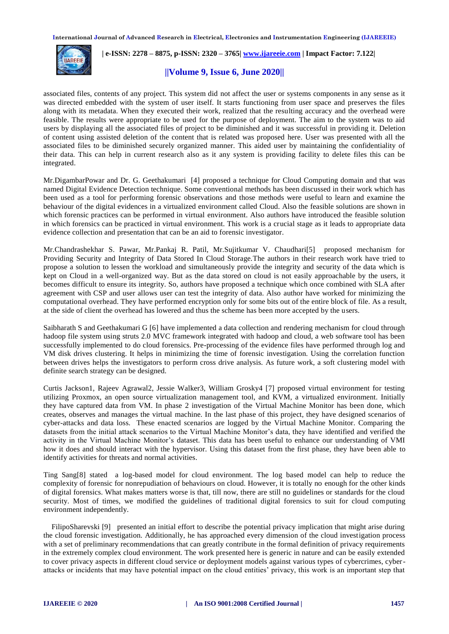

 **| e-ISSN: 2278 – 8875, p-ISSN: 2320 – 3765[| www.ijareeie.com](http://www.ijareeie.com/) | Impact Factor: 7.122|** 

### **||Volume 9, Issue 6, June 2020||**

associated files, contents of any project. This system did not affect the user or systems components in any sense as it was directed embedded with the system of user itself. It starts functioning from user space and preserves the files along with its metadata. When they executed their work, realized that the resulting accuracy and the overhead were feasible. The results were appropriate to be used for the purpose of deployment. The aim to the system was to aid users by displaying all the associated files of project to be diminished and it was successful in providing it. Deletion of content using assisted deletion of the content that is related was proposed here. User was presented with all the associated files to be diminished securely organized manner. This aided user by maintaining the confidentiality of their data. This can help in current research also as it any system is providing facility to delete files this can be integrated.

Mr.DigambarPowar and Dr. G. Geethakumari [4] proposed a technique for Cloud Computing domain and that was named Digital Evidence Detection technique. Some conventional methods has been discussed in their work which has been used as a tool for performing forensic observations and those methods were useful to learn and examine the behaviour of the digital evidences in a virtualized environment called Cloud. Also the feasible solutions are shown in which forensic practices can be performed in virtual environment. Also authors have introduced the feasible solution in which forensics can be practiced in virtual environment. This work is a crucial stage as it leads to appropriate data evidence collection and presentation that can be an aid to forensic investigator.

Mr.Chandrashekhar S. Pawar, Mr.Pankaj R. Patil, Mr.Sujitkumar V. Chaudhari[5] proposed mechanism for Providing Security and Integrity of Data Stored In Cloud Storage.The authors in their research work have tried to propose a solution to lessen the workload and simultaneously provide the integrity and security of the data which is kept on Cloud in a well-organized way. But as the data stored on cloud is not easily approachable by the users, it becomes difficult to ensure its integrity. So, authors have proposed a technique which once combined with SLA after agreement with CSP and user allows user can test the integrity of data. Also author have worked for minimizing the computational overhead. They have performed encryption only for some bits out of the entire block of file. As a result, at the side of client the overhead has lowered and thus the scheme has been more accepted by the users.

Saibharath S and Geethakumari G [6] have implemented a data collection and rendering mechanism for cloud through hadoop file system using struts 2.0 MVC framework integrated with hadoop and cloud, a web software tool has been successfully implemented to do cloud forensics. Pre-processing of the evidence files have performed through log and VM disk drives clustering. It helps in minimizing the time of forensic investigation. Using the correlation function between drives helps the investigators to perform cross drive analysis. As future work, a soft clustering model with definite search strategy can be designed.

Curtis Jackson1, Rajeev Agrawal2, Jessie Walker3, William Grosky4 [7] proposed virtual environment for testing utilizing Proxmox, an open source virtualization management tool, and KVM, a virtualized environment. Initially they have captured data from VM. In phase 2 investigation of the Virtual Machine Monitor has been done, which creates, observes and manages the virtual machine. In the last phase of this project, they have designed scenarios of cyber-attacks and data loss. These enacted scenarios are logged by the Virtual Machine Monitor. Comparing the datasets from the initial attack scenarios to the Virtual Machine Monitor's data, they have identified and verified the activity in the Virtual Machine Monitor's dataset. This data has been useful to enhance our understanding of VMI how it does and should interact with the hypervisor. Using this dataset from the first phase, they have been able to identify activities for threats and normal activities.

Ting Sang[8] stated a log-based model for cloud environment. The log based model can help to reduce the complexity of forensic for nonrepudiation of behaviours on cloud. However, it is totally no enough for the other kinds of digital forensics. What makes matters worse is that, till now, there are still no guidelines or standards for the cloud security. Most of times, we modified the guidelines of traditional digital forensics to suit for cloud computing environment independently.

FilipoSharevski [9] presented an initial effort to describe the potential privacy implication that might arise during the cloud forensic investigation. Additionally, he has approached every dimension of the cloud investigation process with a set of preliminary recommendations that can greatly contribute in the formal definition of privacy requirements in the extremely complex cloud environment. The work presented here is generic in nature and can be easily extended to cover privacy aspects in different cloud service or deployment models against various types of cybercrimes, cyberattacks or incidents that may have potential impact on the cloud entities' privacy, this work is an important step that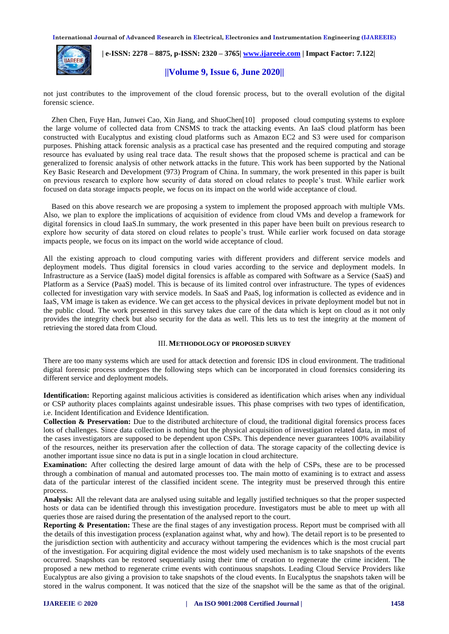

 **| e-ISSN: 2278 – 8875, p-ISSN: 2320 – 3765[| www.ijareeie.com](http://www.ijareeie.com/) | Impact Factor: 7.122|** 

#### **||Volume 9, Issue 6, June 2020||**

not just contributes to the improvement of the cloud forensic process, but to the overall evolution of the digital forensic science.

Zhen Chen, Fuye Han, Junwei Cao, Xin Jiang, and ShuoChen[10] proposed cloud computing systems to explore the large volume of collected data from CNSMS to track the attacking events. An IaaS cloud platform has been constructed with Eucalyptus and existing cloud platforms such as Amazon EC2 and S3 were used for comparison purposes. Phishing attack forensic analysis as a practical case has presented and the required computing and storage resource has evaluated by using real trace data. The result shows that the proposed scheme is practical and can be generalized to forensic analysis of other network attacks in the future. This work has been supported by the National Key Basic Research and Development (973) Program of China. In summary, the work presented in this paper is built on previous research to explore how security of data stored on cloud relates to people's trust. While earlier work focused on data storage impacts people, we focus on its impact on the world wide acceptance of cloud.

Based on this above research we are proposing a system to implement the proposed approach with multiple VMs. Also, we plan to explore the implications of acquisition of evidence from cloud VMs and develop a framework for digital forensics in cloud IaaS.In summary, the work presented in this paper have been built on previous research to explore how security of data stored on cloud relates to people's trust. While earlier work focused on data storage impacts people, we focus on its impact on the world wide acceptance of cloud.

All the existing approach to cloud computing varies with different providers and different service models and deployment models. Thus digital forensics in cloud varies according to the service and deployment models. In Infrastructure as a Service (IaaS) model digital forensics is affable as compared with Software as a Service (SaaS) and Platform as a Service (PaaS) model. This is because of its limited control over infrastructure. The types of evidences collected for investigation vary with service models. In SaaS and PaaS, log information is collected as evidence and in IaaS, VM image is taken as evidence. We can get access to the physical devices in private deployment model but not in the public cloud. The work presented in this survey takes due care of the data which is kept on cloud as it not only provides the integrity check but also security for the data as well. This lets us to test the integrity at the moment of retrieving the stored data from Cloud.

#### III. **METHODOLOGY OF PROPOSED SURVEY**

There are too many systems which are used for attack detection and forensic IDS in cloud environment. The traditional digital forensic process undergoes the following steps which can be incorporated in cloud forensics considering its different service and deployment models.

**Identification:** Reporting against malicious activities is considered as identification which arises when any individual or CSP authority places complaints against undesirable issues. This phase comprises with two types of identification, i.e. Incident Identification and Evidence Identification.

**Collection & Preservation:** Due to the distributed architecture of cloud, the traditional digital forensics process faces lots of challenges. Since data collection is nothing but the physical acquisition of investigation related data, in most of the cases investigators are supposed to be dependent upon CSPs. This dependence never guarantees 100% availability of the resources, neither its preservation after the collection of data. The storage capacity of the collecting device is another important issue since no data is put in a single location in cloud architecture.

**Examination:** After collecting the desired large amount of data with the help of CSPs, these are to be processed through a combination of manual and automated processes too. The main motto of examining is to extract and assess data of the particular interest of the classified incident scene. The integrity must be preserved through this entire process.

**Analysis:** All the relevant data are analysed using suitable and legally justified techniques so that the proper suspected hosts or data can be identified through this investigation procedure. Investigators must be able to meet up with all queries those are raised during the presentation of the analysed report to the court.

**Reporting & Presentation:** These are the final stages of any investigation process. Report must be comprised with all the details of this investigation process (explanation against what, why and how). The detail report is to be presented to the jurisdiction section with authenticity and accuracy without tampering the evidences which is the most crucial part of the investigation. For acquiring digital evidence the most widely used mechanism is to take snapshots of the events occurred. Snapshots can be restored sequentially using their time of creation to regenerate the crime incident. The proposed a new method to regenerate crime events with continuous snapshots. Leading Cloud Service Providers like Eucalyptus are also giving a provision to take snapshots of the cloud events. In Eucalyptus the snapshots taken will be stored in the walrus component. It was noticed that the size of the snapshot will be the same as that of the original.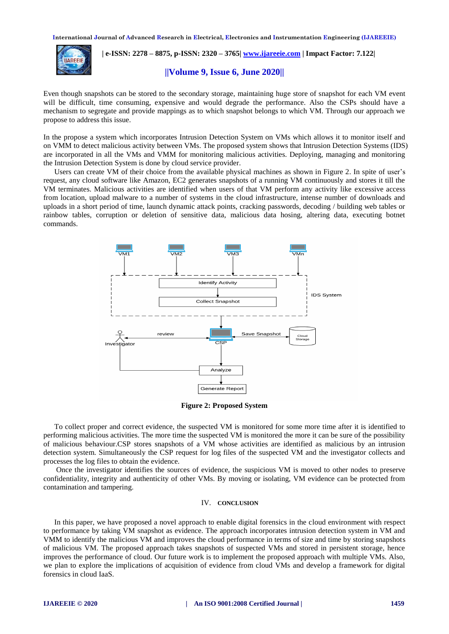

 **| e-ISSN: 2278 – 8875, p-ISSN: 2320 – 3765[| www.ijareeie.com](http://www.ijareeie.com/) | Impact Factor: 7.122|** 

#### **||Volume 9, Issue 6, June 2020||**

Even though snapshots can be stored to the secondary storage, maintaining huge store of snapshot for each VM event will be difficult, time consuming, expensive and would degrade the performance. Also the CSPs should have a mechanism to segregate and provide mappings as to which snapshot belongs to which VM. Through our approach we propose to address this issue.

In the propose a system which incorporates Intrusion Detection System on VMs which allows it to monitor itself and on VMM to detect malicious activity between VMs. The proposed system shows that Intrusion Detection Systems (IDS) are incorporated in all the VMs and VMM for monitoring malicious activities. Deploying, managing and monitoring the Intrusion Detection System is done by cloud service provider.

Users can create VM of their choice from the available physical machines as shown in Figure 2. In spite of user's request, any cloud software like Amazon, EC2 generates snapshots of a running VM continuously and stores it till the VM terminates. Malicious activities are identified when users of that VM perform any activity like excessive access from location, upload malware to a number of systems in the cloud infrastructure, intense number of downloads and uploads in a short period of time, launch dynamic attack points, cracking passwords, decoding / building web tables or rainbow tables, corruption or deletion of sensitive data, malicious data hosing, altering data, executing botnet commands.



**Figure 2: Proposed System**

To collect proper and correct evidence, the suspected VM is monitored for some more time after it is identified to performing malicious activities. The more time the suspected VM is monitored the more it can be sure of the possibility of malicious behaviour.CSP stores snapshots of a VM whose activities are identified as malicious by an intrusion detection system. Simultaneously the CSP request for log files of the suspected VM and the investigator collects and processes the log files to obtain the evidence.

Once the investigator identifies the sources of evidence, the suspicious VM is moved to other nodes to preserve confidentiality, integrity and authenticity of other VMs. By moving or isolating, VM evidence can be protected from contamination and tampering.

#### IV. **CONCLUSION**

In this paper, we have proposed a novel approach to enable digital forensics in the cloud environment with respect to performance by taking VM snapshot as evidence. The approach incorporates intrusion detection system in VM and VMM to identify the malicious VM and improves the cloud performance in terms of size and time by storing snapshots of malicious VM. The proposed approach takes snapshots of suspected VMs and stored in persistent storage, hence improves the performance of cloud. Our future work is to implement the proposed approach with multiple VMs. Also, we plan to explore the implications of acquisition of evidence from cloud VMs and develop a framework for digital forensics in cloud IaaS.